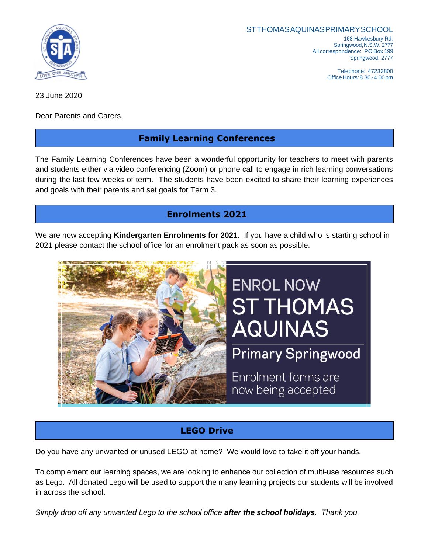

STTHOMASAQUINASPRIMARYSCHOOL 168 Hawkesbury Rd, Springwood,N.S.W. 2777 All correspondence: PO Box 199

> Springwood, 2777 Telephone: 47233800 OfficeHours:8.30-4.00pm

23 June 2020

Dear Parents and Carers,

## **Family Learning Conferences**

The Family Learning Conferences have been a wonderful opportunity for teachers to meet with parents and students either via video conferencing (Zoom) or phone call to engage in rich learning conversations during the last few weeks of term. The students have been excited to share their learning experiences and goals with their parents and set goals for Term 3.

# **Enrolments 2021**

We are now accepting **Kindergarten Enrolments for 2021**. If you have a child who is starting school in 2021 please contact the school office for an enrolment pack as soon as possible.



# **LEGO Drive**

Do you have any unwanted or unused LEGO at home? We would love to take it off your hands.

To complement our learning spaces, we are looking to enhance our collection of multi-use resources such as Lego. All donated Lego will be used to support the many learning projects our students will be involved in across the school.

*Simply drop off any unwanted Lego to the school office after the school holidays. Thank you.*